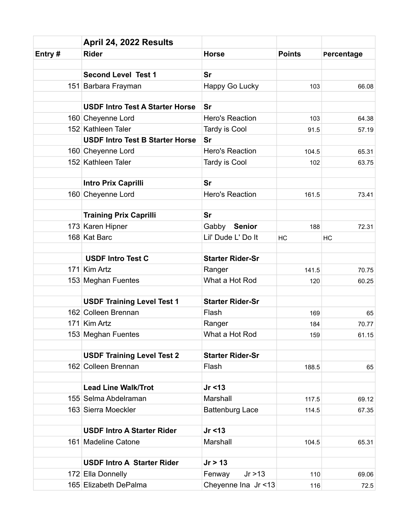|        | April 24, 2022 Results                 |                         |               |            |
|--------|----------------------------------------|-------------------------|---------------|------------|
| Entry# | <b>Rider</b>                           | <b>Horse</b>            | <b>Points</b> | Percentage |
|        |                                        |                         |               |            |
|        | <b>Second Level Test 1</b>             | <b>Sr</b>               |               |            |
|        | 151 Barbara Frayman                    | Happy Go Lucky          | 103           | 66.08      |
|        | <b>USDF Intro Test A Starter Horse</b> | <b>Sr</b>               |               |            |
|        | 160 Cheyenne Lord                      | Hero's Reaction         | 103           | 64.38      |
|        | 152 Kathleen Taler                     | Tardy is Cool           | 91.5          | 57.19      |
|        | <b>USDF Intro Test B Starter Horse</b> | Sr                      |               |            |
|        | 160 Cheyenne Lord                      | Hero's Reaction         | 104.5         | 65.31      |
|        | 152 Kathleen Taler                     | Tardy is Cool           | 102           | 63.75      |
|        |                                        |                         |               |            |
|        | <b>Intro Prix Caprilli</b>             | Sr                      |               |            |
|        | 160 Cheyenne Lord                      | Hero's Reaction         | 161.5         | 73.41      |
|        |                                        |                         |               |            |
|        | <b>Training Prix Caprilli</b>          | <b>Sr</b>               |               |            |
|        | 173 Karen Hipner                       | Gabby Senior            | 188           | 72.31      |
|        | 168 Kat Barc                           | Lil' Dude L' Do It      | HC            | HC         |
|        | <b>USDF Intro Test C</b>               | <b>Starter Rider-Sr</b> |               |            |
|        |                                        |                         |               |            |
|        | 171 Kim Artz                           | Ranger                  | 141.5         | 70.75      |
|        | 153 Meghan Fuentes                     | What a Hot Rod          | 120           | 60.25      |
|        | <b>USDF Training Level Test 1</b>      | <b>Starter Rider-Sr</b> |               |            |
|        | 162 Colleen Brennan                    | Flash                   | 169           | 65         |
|        | 171 Kim Artz                           | Ranger                  | 184           | 70.77      |
|        | 153 Meghan Fuentes                     | What a Hot Rod          | 159           | 61.15      |
|        |                                        |                         |               |            |
|        | <b>USDF Training Level Test 2</b>      | <b>Starter Rider-Sr</b> |               |            |
|        | 162 Colleen Brennan                    | Flash                   | 188.5         | 65         |
|        | <b>Lead Line Walk/Trot</b>             | Jr < 13                 |               |            |
|        | 155 Selma Abdelraman                   | Marshall                | 117.5         | 69.12      |
|        | 163 Sierra Moeckler                    | <b>Battenburg Lace</b>  | 114.5         | 67.35      |
|        |                                        |                         |               |            |
|        | <b>USDF Intro A Starter Rider</b>      | Jr < 13                 |               |            |
|        | 161 Madeline Catone                    | Marshall                | 104.5         | 65.31      |
|        | <b>USDF Intro A Starter Rider</b>      | Jr > 13                 |               |            |
|        | 172 Ella Donnelly                      | Jr > 13<br>Fenway       |               |            |
|        | 165 Elizabeth DePalma                  | Cheyenne Ina Jr <13     | 110           | 69.06      |
|        |                                        |                         | 116           | 72.5       |